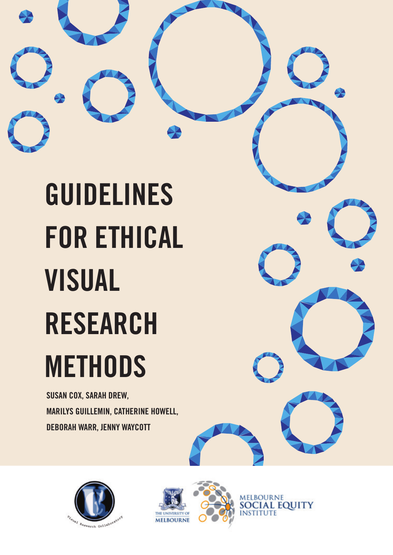

**SUSAN COX, SARAH DREW, MARILYS GUILLEMIN, CATHERINE HOWELL, DEBORAH WARR, JENNY WAYCOTT**





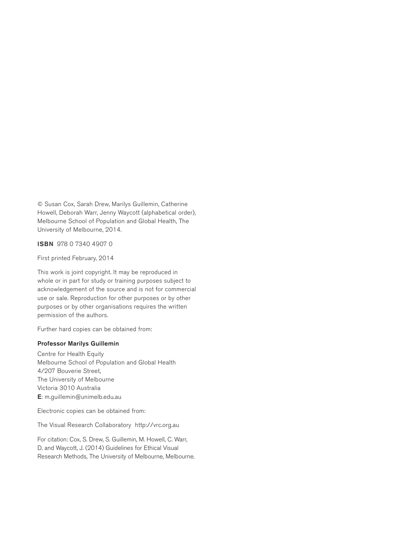© Susan Cox, Sarah Drew, Marilys Guillemin, Catherine Howell, Deborah Warr, Jenny Waycott (alphabetical order), Melbourne School of Population and Global Health, The University of Melbourne, 2014.

ISBN 978 0 7340 4907 0

First printed February, 2014

This work is joint copyright. It may be reproduced in whole or in part for study or training purposes subject to acknowledgement of the source and is not for commercial use or sale. Reproduction for other purposes or by other purposes or by other organisations requires the written permission of the authors.

Further hard copies can be obtained from:

#### Professor Marilys Guillemin

Centre for Health Equity Melbourne School of Population and Global Health 4/207 Bouverie Street, The University of Melbourne Victoria 3010 Australia E: m.guillemin@unimelb.edu.au

Electronic copies can be obtained from:

The Visual Research Collaboratory http://vrc.org.au

For citation: Cox, S. Drew, S. Guillemin, M. Howell, C. Warr, D. and Waycott, J. (2014) Guidelines for Ethical Visual Research Methods, The University of Melbourne, Melbourne.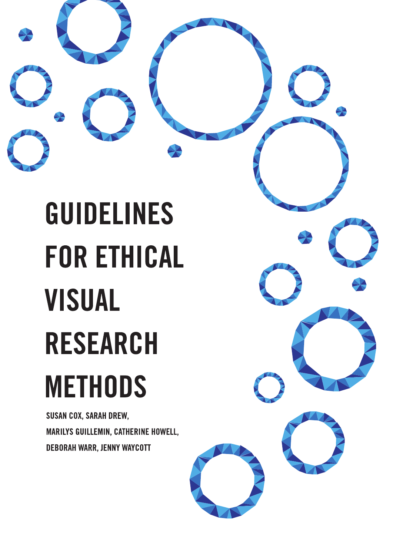# **GUIDELINES FOR ETHICAL VISUAL RESEARCH METHODS**

**SUSAN COX, SARAH DREW,** MARILYS GUILLEMIN, CATHERINE HOWELL, **DEBORAH WARR, JENNY WAYCOTT**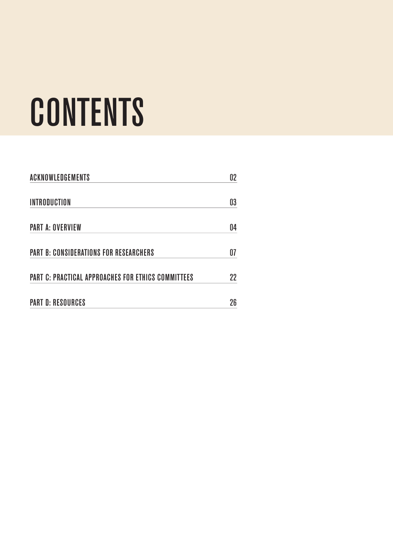# **CONTENTS**

| <b>ACKNOWLEDGEMENTS</b>                                   | 02 |
|-----------------------------------------------------------|----|
| <b>INTRODUCTION</b>                                       | 03 |
| <b>PART A: OVERVIEW</b>                                   | 04 |
| <b>PART B: CONSIDERATIONS FOR RESEARCHERS</b>             | 07 |
| <b>PART C: PRACTICAL APPROACHES FOR ETHICS COMMITTEES</b> | 22 |
| <b>PART D: RESOURCES</b>                                  | 26 |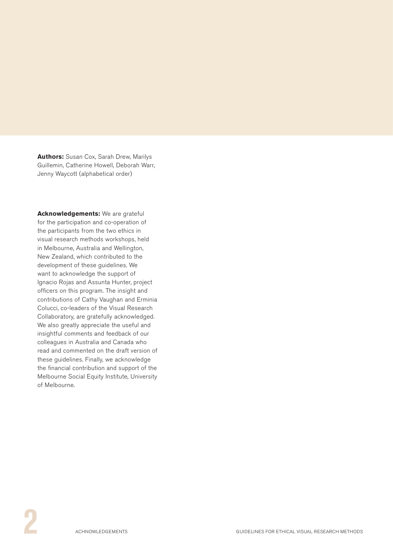<span id="page-5-0"></span>**Authors:** Susan Cox, Sarah Drew, Marilys Guillemin, Catherine Howell, Deborah Warr, Jenny Waycott (alphabetical order)

**Acknowledgements:** We are grateful for the participation and co-operation of the participants from the two ethics in visual research methods workshops, held in Melbourne, Australia and Wellington, New Zealand, which contributed to the development of these guidelines. We want to acknowledge the support of Ignacio Rojas and Assunta Hunter, project officers on this program. The insight and contributions of Cathy Vaughan and Erminia Colucci, co-leaders of the Visual Research Collaboratory, are gratefully acknowledged. We also greatly appreciate the useful and insightful comments and feedback of our colleagues in Australia and Canada who read and commented on the draft version of these guidelines. Finally, we acknowledge the financial contribution and support of the Melbourne Social Equity Institute, University of Melbourne.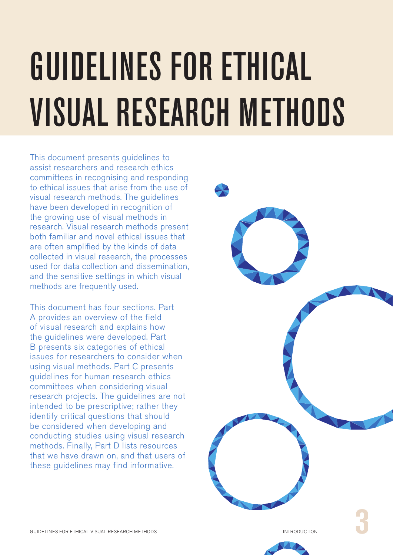# <span id="page-6-0"></span>GUIDELINES FOR ETHICAL VISUAL RESEARCH METHODS

This document presents guidelines to assist researchers and research ethics committees in recognising and responding to ethical issues that arise from the use of visual research methods. The guidelines have been developed in recognition of the growing use of visual methods in research. Visual research methods present both familiar and novel ethical issues that are often amplified by the kinds of data collected in visual research, the processes used for data collection and dissemination, and the sensitive settings in which visual methods are frequently used.

This document has four sections. Part A provides an overview of the field of visual research and explains how the guidelines were developed. Part B presents six categories of ethical issues for researchers to consider when using visual methods. Part C presents guidelines for human research ethics committees when considering visual research projects. The guidelines are not intended to be prescriptive; rather they identify critical questions that should be considered when developing and conducting studies using visual research methods. Finally, Part D lists resources that we have drawn on, and that users of these guidelines may find informative.

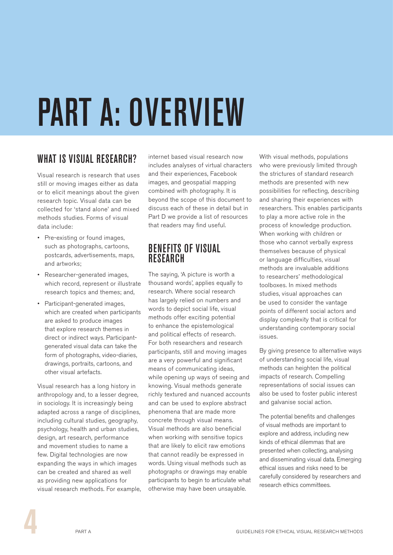# <span id="page-7-0"></span>PART A: OVERVIEW

## WHAT IS VISUAL RESEARCH?

Visual research is research that uses still or moving images either as data or to elicit meanings about the given research topic. Visual data can be collected for 'stand alone' and mixed methods studies. Forms of visual data include:

- Pre-existing or found images, such as photographs, cartoons, postcards, advertisements, maps, and artworks;
- • Researcher-generated images, which record, represent or illustrate research topics and themes; and,
- Participant-generated images, which are created when participants are asked to produce images that explore research themes in direct or indirect ways. Participantgenerated visual data can take the form of photographs, video-diaries, drawings, portraits, cartoons, and other visual artefacts.

Visual research has a long history in anthropology and, to a lesser degree, in sociology. It is increasingly being adapted across a range of disciplines, including cultural studies, geography, psychology, health and urban studies, design, art research, performance and movement studies to name a few. Digital technologies are now expanding the ways in which images can be created and shared as well as providing new applications for visual research methods. For example, internet based visual research now includes analyses of virtual characters and their experiences, Facebook images, and geospatial mapping combined with photography. It is beyond the scope of this document to discuss each of these in detail but in Part D we provide a list of resources that readers may find useful.

#### BENEFITS OF VISUAL **RESEARCH**

The saying, 'A picture is worth a thousand words', applies equally to research. Where social research has largely relied on numbers and words to depict social life, visual methods offer exciting potential to enhance the epistemological and political effects of research. For both researchers and research participants, still and moving images are a very powerful and significant means of communicating ideas, while opening up ways of seeing and knowing. Visual methods generate richly textured and nuanced accounts and can be used to explore abstract phenomena that are made more concrete through visual means. Visual methods are also beneficial when working with sensitive topics that are likely to elicit raw emotions that cannot readily be expressed in words. Using visual methods such as photographs or drawings may enable participants to begin to articulate what otherwise may have been unsayable.

With visual methods, populations who were previously limited through the strictures of standard research methods are presented with new possibilities for reflecting, describing and sharing their experiences with researchers. This enables participants to play a more active role in the process of knowledge production. When working with children or those who cannot verbally express themselves because of physical or language difficulties, visual methods are invaluable additions to researchers' methodological toolboxes. In mixed methods studies, visual approaches can be used to consider the vantage points of different social actors and display complexity that is critical for understanding contemporary social issues.

By giving presence to alternative ways of understanding social life, visual methods can heighten the political impacts of research. Compelling representations of social issues can also be used to foster public interest and galvanise social action.

The potential benefits and challenges of visual methods are important to explore and address, including new kinds of ethical dilemmas that are presented when collecting, analysing and disseminating visual data. Emerging ethical issues and risks need to be carefully considered by researchers and research ethics committees.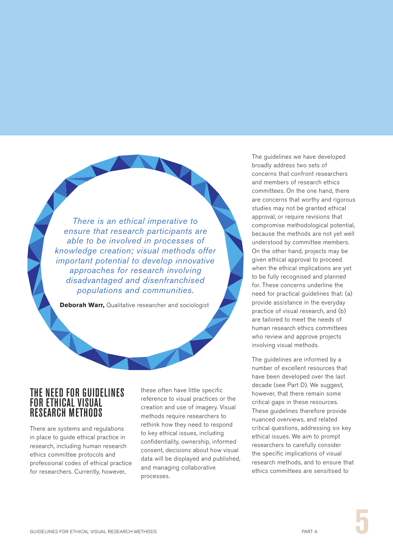*There is an ethical imperative to ensure that research participants are able to be involved in processes of knowledge creation; visual methods offer important potential to develop innovative approaches for research involving disadvantaged and disenfranchised populations and communities.*

**Deborah Warr,** Qualitative researcher and sociologist

#### THE NEED FOR GUIDELINES FOR ETHICAL VISUAL RESEARCH METHODS

There are systems and regulations in place to guide ethical practice in research, including human research ethics committee protocols and professional codes of ethical practice for researchers. Currently, however,

these often have little specific reference to visual practices or the creation and use of imagery. Visual methods require researchers to rethink how they need to respond to key ethical issues, including confidentiality, ownership, informed consent, decisions about how visual data will be displayed and published, and managing collaborative processes.

The quidelines we have developed broadly address two sets of concerns that confront researchers and members of research ethics committees. On the one hand, there are concerns that worthy and rigorous studies may not be granted ethical approval, or require revisions that compromise methodological potential, because the methods are not yet well understood by committee members. On the other hand, projects may be given ethical approval to proceed when the ethical implications are yet to be fully recognised and planned for. These concerns underline the need for practical guidelines that: (a) provide assistance in the everyday practice of visual research, and (b) are tailored to meet the needs of human research ethics committees who review and approve projects involving visual methods.

The guidelines are informed by a number of excellent resources that have been developed over the last decade (see Part D). We suggest, however, that there remain some critical gaps in these resources. These guidelines therefore provide nuanced overviews, and related critical questions, addressing six key ethical issues. We aim to prompt researchers to carefully consider the specific implications of visual research methods, and to ensure that ethics committees are sensitised to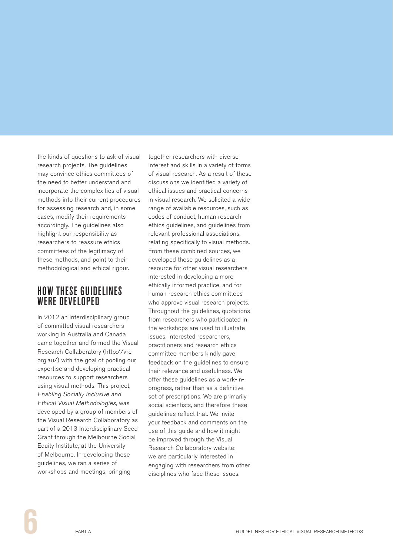the kinds of questions to ask of visual research projects. The guidelines may convince ethics committees of the need to better understand and incorporate the complexities of visual methods into their current procedures for assessing research and, in some cases, modify their requirements accordingly. The guidelines also highlight our responsibility as researchers to reassure ethics committees of the legitimacy of these methods, and point to their methodological and ethical rigour.

#### HOW THESE GUIDELINES WERE DEVELOPED

In 2012 an interdisciplinary group of committed visual researchers working in Australia and Canada came together and formed the Visual Research Collaboratory (http://vrc. org.au/) with the goal of pooling our expertise and developing practical resources to support researchers using visual methods. This project, Enabling Socially Inclusive and Ethical Visual Methodologies, was developed by a group of members of the Visual Research Collaboratory as part of a 2013 Interdisciplinary Seed Grant through the Melbourne Social Equity Institute, at the University of Melbourne. In developing these guidelines, we ran a series of workshops and meetings, bringing

together researchers with diverse interest and skills in a variety of forms of visual research. As a result of these discussions we identified a variety of ethical issues and practical concerns in visual research. We solicited a wide range of available resources, such as codes of conduct, human research ethics guidelines, and guidelines from relevant professional associations, relating specifically to visual methods. From these combined sources, we developed these guidelines as a resource for other visual researchers interested in developing a more ethically informed practice, and for human research ethics committees who approve visual research projects. Throughout the guidelines, quotations from researchers who participated in the workshops are used to illustrate issues. Interested researchers, practitioners and research ethics committee members kindly gave feedback on the guidelines to ensure their relevance and usefulness. We offer these guidelines as a work-inprogress, rather than as a definitive set of prescriptions. We are primarily social scientists, and therefore these guidelines reflect that. We invite your feedback and comments on the use of this guide and how it might be improved through the Visual Research Collaboratory website; we are particularly interested in engaging with researchers from other disciplines who face these issues.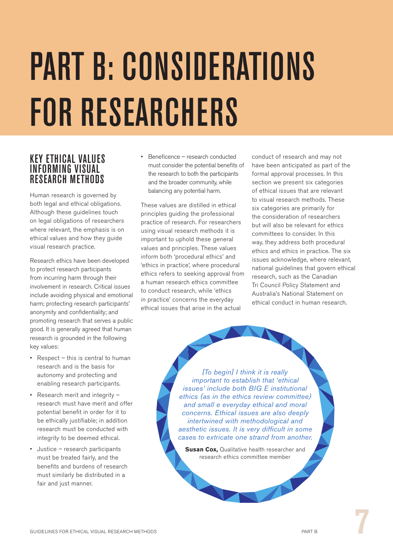# <span id="page-10-0"></span>PART B: CONSIDERATIONS FOR RESEARCHERS

#### KEY ETHICAL VALUES INFORMING VISUAL RESEARCH METHODS

Human research is governed by both legal and ethical obligations. Although these guidelines touch on legal obligations of researchers where relevant, the emphasis is on ethical values and how they guide visual research practice.

Research ethics have been developed to protect research participants from incurring harm through their involvement in research. Critical issues include avoiding physical and emotional harm; protecting research participants' anonymity and confidentiality; and promoting research that serves a public good. It is generally agreed that human research is grounded in the following key values:

- Respect this is central to human research and is the basis for autonomy and protecting and enabling research participants.
- Research merit and integrity research must have merit and offer potential benefit in order for it to be ethically justifiable; in addition research must be conducted with integrity to be deemed ethical.
- Justice research participants must be treated fairly, and the benefits and burdens of research must similarly be distributed in a fair and just manner.

Beneficence – research conducted must consider the potential benefits of the research to both the participants and the broader community, while balancing any potential harm.

These values are distilled in ethical principles guiding the professional practice of research. For researchers using visual research methods it is important to uphold these general values and principles. These values inform both 'procedural ethics' and 'ethics in practice', where procedural ethics refers to seeking approval from a human research ethics committee to conduct research, while 'ethics in practice' concerns the everyday ethical issues that arise in the actual

conduct of research and may not have been anticipated as part of the formal approval processes. In this section we present six categories of ethical issues that are relevant to visual research methods. These six categories are primarily for the consideration of researchers but will also be relevant for ethics committees to consider. In this way, they address both procedural ethics and ethics in practice. The six issues acknowledge, where relevant, national guidelines that govern ethical research, such as the Canadian Tri Council Policy Statement and Australia's National Statement on ethical conduct in human research.

*[To begin] I think it is really important to establish that 'ethical issues' include both BIG E institutional ethics (as in the ethics review committee) and small e everyday ethical and moral concerns. Ethical issues are also deeply intertwined with methodological and aesthetic issues. It is very difficult in some cases to extricate one strand from another.*

**Susan Cox, Qualitative health researcher and** research ethics committee member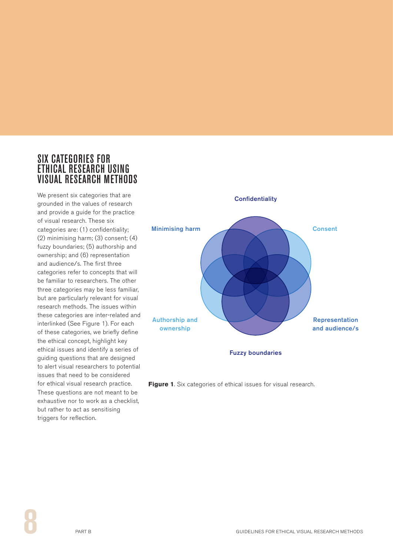#### SIX CATEGORIES FOR ETHICAL RESEARCH USING VISUAL RESEARCH METHODS

We present six categories that are grounded in the values of research and provide a guide for the practice of visual research. These six categories are: (1) confidentiality; (2) minimising harm; (3) consent; (4) fuzzy boundaries; (5) authorship and ownership; and (6) representation and audience/s. The first three categories refer to concepts that will be familiar to researchers. The other three categories may be less familiar, but are particularly relevant for visual research methods. The issues within these categories are inter-related and interlinked (See Figure 1). For each of these categories, we briefly define the ethical concept, highlight key ethical issues and identify a series of guiding questions that are designed to alert visual researchers to potential issues that need to be considered for ethical visual research practice. These questions are not meant to be exhaustive nor to work as a checklist, but rather to act as sensitising triggers for reflection.

![](_page_11_Figure_2.jpeg)

![](_page_11_Figure_3.jpeg)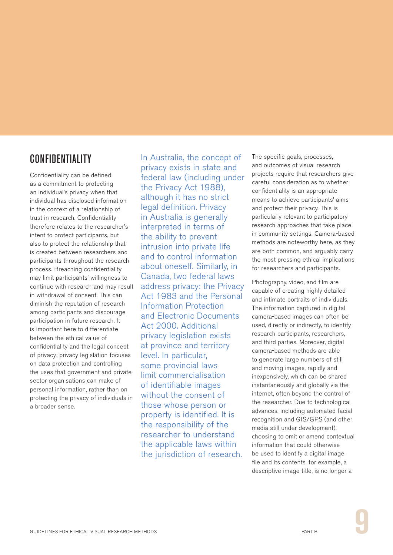### CONFIDENTIALITY

Confidentiality can be defined as a commitment to protecting an individual's privacy when that individual has disclosed information in the context of a relationship of trust in research. Confidentiality therefore relates to the researcher's intent to protect participants, but also to protect the relationship that is created between researchers and participants throughout the research process. Breaching confidentiality may limit participants' willingness to continue with research and may result in withdrawal of consent. This can diminish the reputation of research among participants and discourage participation in future research. It is important here to differentiate between the ethical value of confidentiality and the legal concept of privacy; privacy legislation focuses on data protection and controlling the uses that government and private sector organisations can make of personal information, rather than on protecting the privacy of individuals in a broader sense.

In Australia, the concept of privacy exists in state and federal law (including under the Privacy Act 1988), although it has no strict legal definition. Privacy in Australia is generally interpreted in terms of the ability to prevent intrusion into private life and to control information about oneself. Similarly, in Canada, two federal laws address privacy: the Privacy Act 1983 and the Personal Information Protection and Electronic Documents Act 2000. Additional privacy legislation exists at province and territory level. In particular, some provincial laws limit commercialisation of identifiable images without the consent of those whose person or property is identified. It is the responsibility of the researcher to understand the applicable laws within the jurisdiction of research.

The specific goals, processes. and outcomes of visual research projects require that researchers give careful consideration as to whether confidentiality is an appropriate means to achieve participants' aims and protect their privacy. This is particularly relevant to participatory research approaches that take place in community settings. Camera-based methods are noteworthy here, as they are both common, and arguably carry the most pressing ethical implications for researchers and participants.

Photography, video, and film are capable of creating highly detailed and intimate portraits of individuals. The information captured in digital camera-based images can often be used, directly or indirectly, to identify research participants, researchers, and third parties. Moreover, digital camera-based methods are able to generate large numbers of still and moving images, rapidly and inexpensively, which can be shared instantaneously and globally via the internet, often beyond the control of the researcher. Due to technological advances, including automated facial recognition and GIS/GPS (and other media still under development), choosing to omit or amend contextual information that could otherwise be used to identify a digital image file and its contents, for example, a descriptive image title, is no longer a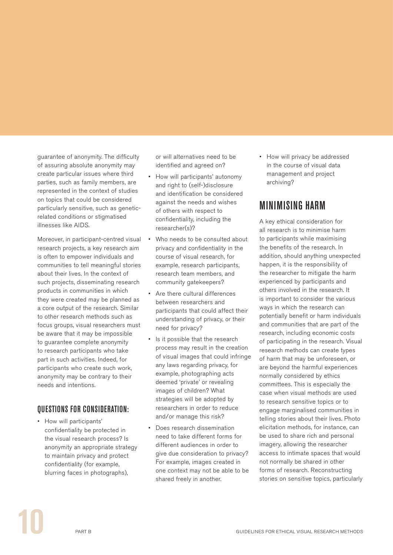guarantee of anonymity. The difficulty of assuring absolute anonymity may create particular issues where third parties, such as family members, are represented in the context of studies on topics that could be considered particularly sensitive, such as geneticrelated conditions or stigmatised illnesses like AIDS.

Moreover, in participant-centred visual research projects, a key research aim is often to empower individuals and communities to tell meaningful stories about their lives. In the context of such projects, disseminating research products in communities in which they were created may be planned as a core output of the research. Similar to other research methods such as focus groups, visual researchers must be aware that it may be impossible to guarantee complete anonymity to research participants who take part in such activities. Indeed, for participants who create such work, anonymity may be contrary to their needs and intentions.

#### QUESTIONS FOR CONSIDERATION:

• How will participants' confidentiality be protected in the visual research process? Is anonymity an appropriate strategy to maintain privacy and protect confidentiality (for example, blurring faces in photographs),

or will alternatives need to be identified and agreed on?

- • How will participants' autonomy and right to (self-)disclosure and identification be considered against the needs and wishes of others with respect to confidentiality, including the researcher(s)?
- Who needs to be consulted about privacy and confidentiality in the course of visual research, for example, research participants, research team members, and community gatekeepers?
- • Are there cultural differences between researchers and participants that could affect their understanding of privacy, or their need for privacy?
- • Is it possible that the research process may result in the creation of visual images that could infringe any laws regarding privacy, for example, photographing acts deemed 'private' or revealing images of children? What strategies will be adopted by researchers in order to reduce and/or manage this risk?
- Does research dissemination need to take different forms for different audiences in order to give due consideration to privacy? For example, images created in one context may not be able to be shared freely in another.

• How will privacy be addressed in the course of visual data management and project archiving?

# MINIMISING HARM

A key ethical consideration for all research is to minimise harm to participants while maximising the benefits of the research. In addition, should anything unexpected happen, it is the responsibility of the researcher to mitigate the harm experienced by participants and others involved in the research. It is important to consider the various ways in which the research can potentially benefit or harm individuals and communities that are part of the research, including economic costs of participating in the research. Visual research methods can create types of harm that may be unforeseen, or are beyond the harmful experiences normally considered by ethics committees. This is especially the case when visual methods are used to research sensitive topics or to engage marginalised communities in telling stories about their lives. Photo elicitation methods, for instance, can be used to share rich and personal imagery, allowing the researcher access to intimate spaces that would not normally be shared in other forms of research. Reconstructing stories on sensitive topics, particularly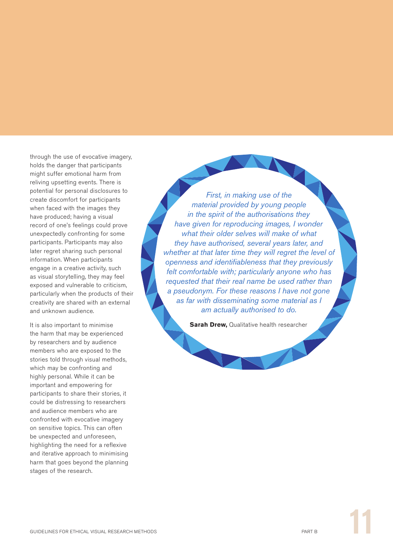through the use of evocative imagery, holds the danger that participants might suffer emotional harm from reliving upsetting events. There is potential for personal disclosures to create discomfort for participants when faced with the images they have produced; having a visual record of one's feelings could prove unexpectedly confronting for some participants. Participants may also later regret sharing such personal information. When participants engage in a creative activity, such as visual storytelling, they may feel exposed and vulnerable to criticism, particularly when the products of their creativity are shared with an external and unknown audience.

It is also important to minimise the harm that may be experienced by researchers and by audience members who are exposed to the stories told through visual methods, which may be confronting and highly personal. While it can be important and empowering for participants to share their stories, it could be distressing to researchers and audience members who are confronted with evocative imagery on sensitive topics. This can often be unexpected and unforeseen, highlighting the need for a reflexive and iterative approach to minimising harm that goes beyond the planning stages of the research.

*First, in making use of the material provided by young people in the spirit of the authorisations they have given for reproducing images, I wonder what their older selves will make of what they have authorised, several years later, and whether at that later time they will regret the level of openness and identifiableness that they previously felt comfortable with; particularly anyone who has requested that their real name be used rather than a pseudonym. For these reasons I have not gone as far with disseminating some material as I am actually authorised to do.*

**Sarah Drew, Qualitative health researcher**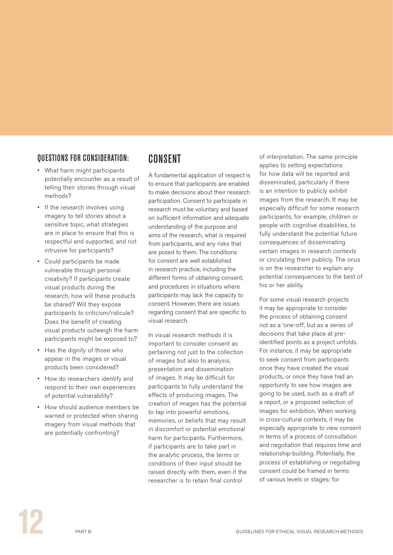#### QUESTIONS FOR CONSIDERATION:

- • What harm might participants potentially encounter as a result of telling their stories through visual methods?
- If the research involves using imagery to tell stories about a sensitive topic, what strategies are in place to ensure that this is respectful and supported, and not intrusive for participants?
- • Could participants be made vulnerable through personal creativity? If participants create visual products during the research, how will these products be shared? Will they expose participants to criticism/ridicule? Does the benefit of creating visual products outweigh the harm participants might be exposed to?
- Has the dignity of those who appear in the images or visual products been considered?
- How do researchers identify and respond to their own experiences of potential vulnerability?
- • How should audience members be warned or protected when sharing imagery from visual methods that are potentially confronting?

## **CONSENT**

A fundamental application of respect is to ensure that participants are enabled to make decisions about their research participation. Consent to participate in research must be voluntary and based on sufficient information and adequate understanding of the purpose and aims of the research, what is required from participants, and any risks that are posed to them. The conditions for consent are well established in research practice, including the different forms of obtaining consent, and procedures in situations where participants may lack the capacity to consent. However, there are issues regarding consent that are specific to visual research.

In visual research methods it is important to consider consent as pertaining not just to the collection of images but also to analysis, presentation and dissemination of images. It may be difficult for participants to fully understand the effects of producing images. The creation of images has the potential to tap into powerful emotions, memories, or beliefs that may result in discomfort or potential emotional harm for participants. Furthermore, if participants are to take part in the analytic process, the terms or conditions of their input should be raised directly with them, even if the researcher is to retain final control

of interpretation. The same principle applies to setting expectations for how data will be reported and disseminated, particularly if there is an intention to publicly exhibit images from the research. It may be especially difficult for some research participants, for example, children or people with cognitive disabilities, to fully understand the potential future consequences of disseminating certain images in research contexts or circulating them publicly. The onus is on the researcher to explain any potential consequences to the best of his or her ability.

For some visual research projects it may be appropriate to consider the process of obtaining consent not as a 'one-off', but as a series of decisions that take place at preidentified points as a project unfolds. For instance, it may be appropriate to seek consent from participants once they have created the visual products, or once they have had an opportunity to see how images are going to be used, such as a draft of a report, or a proposed selection of images for exhibition. When working in cross-cultural contexts, it may be especially appropriate to view consent in terms of a process of consultation and negotiation that requires time and relationship-building. Potentially, the process of establishing or negotiating consent could be framed in terms of various levels or stages; for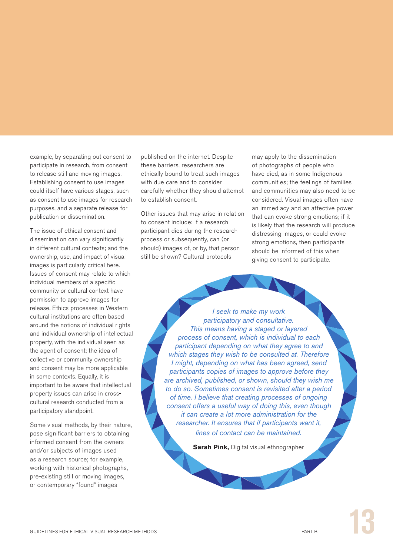example, by separating out consent to participate in research, from consent to release still and moving images. Establishing consent to use images could itself have various stages, such as consent to use images for research purposes, and a separate release for publication or dissemination.

The issue of ethical consent and dissemination can vary significantly in different cultural contexts; and the ownership, use, and impact of visual images is particularly critical here. Issues of consent may relate to which individual members of a specific community or cultural context have permission to approve images for release. Ethics processes in Western cultural institutions are often based around the notions of individual rights and individual ownership of intellectual property, with the individual seen as the agent of consent; the idea of collective or community ownership and consent may be more applicable in some contexts. Equally, it is important to be aware that intellectual property issues can arise in crosscultural research conducted from a participatory standpoint.

Some visual methods, by their nature, pose significant barriers to obtaining informed consent from the owners and/or subjects of images used as a research source; for example, working with historical photographs, pre-existing still or moving images, or contemporary "found" images

published on the internet. Despite these barriers, researchers are ethically bound to treat such images with due care and to consider carefully whether they should attempt to establish consent.

Other issues that may arise in relation to consent include: if a research participant dies during the research process or subsequently, can (or should) images of, or by, that person still be shown? Cultural protocols

may apply to the dissemination of photographs of people who have died, as in some Indigenous communities; the feelings of families and communities may also need to be considered. Visual images often have an immediacy and an affective power that can evoke strong emotions; if it is likely that the research will produce distressing images, or could evoke strong emotions, then participants should be informed of this when giving consent to participate.

*I seek to make my work participatory and consultative. This means having a staged or layered process of consent, which is individual to each participant depending on what they agree to and which stages they wish to be consulted at. Therefore I might, depending on what has been agreed, send participants copies of images to approve before they are archived, published, or shown, should they wish me to do so. Sometimes consent is revisited after a period of time. I believe that creating processes of ongoing consent offers a useful way of doing this, even though it can create a lot more administration for the researcher. It ensures that if participants want it, lines of contact can be maintained.*

**Sarah Pink,** Digital visual ethnographer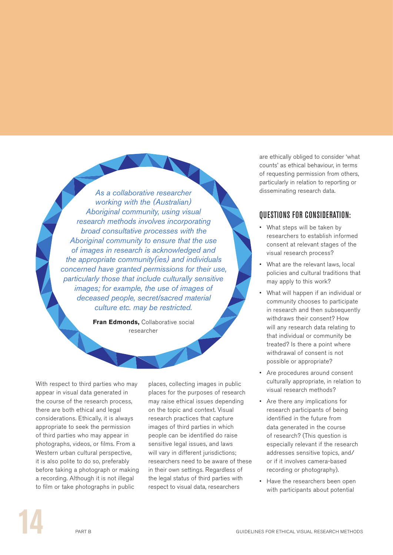*As a collaborative researcher working with the (Australian) Aboriginal community, using visual research methods involves incorporating broad consultative processes with the Aboriginal community to ensure that the use of images in research is acknowledged and the appropriate community(ies) and individuals concerned have granted permissions for their use, particularly those that include culturally sensitive images; for example, the use of images of deceased people, secret/sacred material culture etc. may be restricted.*

> **Fran Edmonds, Collaborative social** researcher

With respect to third parties who may appear in visual data generated in the course of the research process, there are both ethical and legal considerations. Ethically, it is always appropriate to seek the permission of third parties who may appear in photographs, videos, or films. From a Western urban cultural perspective, it is also polite to do so, preferably before taking a photograph or making a recording. Although it is not illegal to film or take photographs in public

places, collecting images in public places for the purposes of research may raise ethical issues depending on the topic and context. Visual research practices that capture images of third parties in which people can be identified do raise sensitive legal issues, and laws will vary in different jurisdictions; researchers need to be aware of these in their own settings. Regardless of the legal status of third parties with respect to visual data, researchers

are ethically obliged to consider 'what counts' as ethical behaviour, in terms of requesting permission from others, particularly in relation to reporting or disseminating research data.

#### QUESTIONS FOR CONSIDERATION:

- What steps will be taken by researchers to establish informed consent at relevant stages of the visual research process?
- What are the relevant laws, local policies and cultural traditions that may apply to this work?
- What will happen if an individual or community chooses to participate in research and then subsequently withdraws their consent? How will any research data relating to that individual or community be treated? Is there a point where withdrawal of consent is not possible or appropriate?
- • Are procedures around consent culturally appropriate, in relation to visual research methods?
- • Are there any implications for research participants of being identified in the future from data generated in the course of research? (This question is especially relevant if the research addresses sensitive topics, and/ or if it involves camera-based recording or photography).
- Have the researchers been open with participants about potential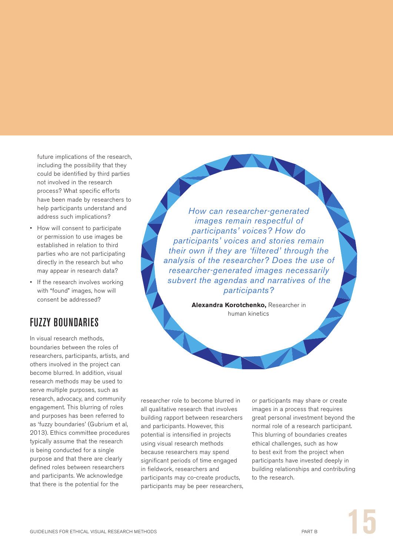future implications of the research, including the possibility that they could be identified by third parties not involved in the research process? What specific efforts have been made by researchers to help participants understand and address such implications?

- How will consent to participate or permission to use images be established in relation to third parties who are not participating directly in the research but who may appear in research data?
- If the research involves working with "found" images, how will consent be addressed?

## **FIIZZY BOUNDARIES**

In visual research methods, boundaries between the roles of researchers, participants, artists, and others involved in the project can become blurred. In addition, visual research methods may be used to serve multiple purposes, such as research, advocacy, and community engagement. This blurring of roles and purposes has been referred to as 'fuzzy boundaries' (Gubrium et al, 2013). Ethics committee procedures typically assume that the research is being conducted for a single purpose and that there are clearly defined roles between researchers and participants. We acknowledge that there is the potential for the

*How can researcher-generated images remain respectful of participants' voices? How do participants' voices and stories remain their own if they are 'filtered' through the analysis of the researcher? Does the use of researcher-generated images necessarily subvert the agendas and narratives of the participants?*

> **Alexandra Korotchenko,** Researcher in human kinetics

researcher role to become blurred in all qualitative research that involves building rapport between researchers and participants. However, this potential is intensified in projects using visual research methods because researchers may spend significant periods of time engaged in fieldwork, researchers and participants may co-create products, participants may be peer researchers, or participants may share or create images in a process that requires great personal investment beyond the normal role of a research participant. This blurring of boundaries creates ethical challenges, such as how to best exit from the project when participants have invested deeply in building relationships and contributing to the research.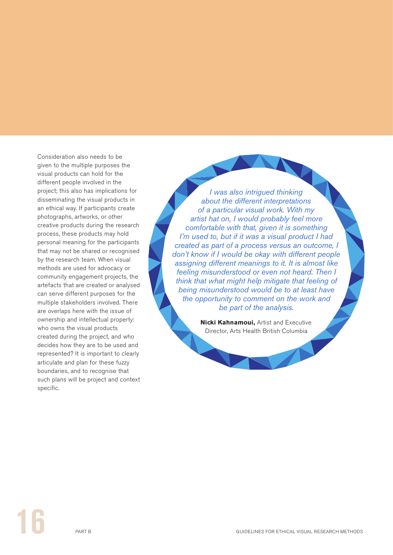Consideration also needs to be given to the multiple purposes the visual products can hold for the different people involved in the project; this also has implications for disseminating the visual products in an ethical way. If participants create photographs, artworks, or other creative products during the research process, these products may hold personal meaning for the participants that may not be shared or recognised by the research team. When visual methods are used for advocacy or community engagement projects, the artefacts that are created or analysed can serve different purposes for the multiple stakeholders involved. There are overlaps here with the issue of ownership and intellectual property: who owns the visual products created during the project, and who decides how they are to be used and represented? It is important to clearly articulate and plan for these fuzzy boundaries, and to recognise that such plans will be project and context specific.

*I was also intrigued thinking about the different interpretations of a particular visual work. With my artist hat on, I would probably feel more comfortable with that, given it is something I'm used to, but if it was a visual product I had created as part of a process versus an outcome, I don't know if I would be okay with different people assigning different meanings to it. It is almost like feeling misunderstood or even not heard. Then I think that what might help mitigate that feeling of being misunderstood would be to at least have the opportunity to comment on the work and be part of the analysis.*

> **Nicki Kahnamoui,** Artist and Executive Director, Arts Health British Columbia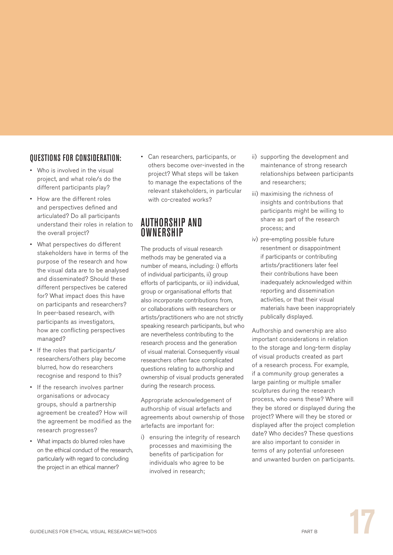#### QUESTIONS FOR CONSIDERATION:

- • Who is involved in the visual project, and what role/s do the different participants play?
- How are the different roles and perspectives defined and articulated? Do all participants understand their roles in relation to the overall project?
- What perspectives do different stakeholders have in terms of the purpose of the research and how the visual data are to be analysed and disseminated? Should these different perspectives be catered for? What impact does this have on participants and researchers? In peer-based research, with participants as investigators, how are conflicting perspectives managed?
- • If the roles that participants/ researchers/others play become blurred, how do researchers recognise and respond to this?
- • If the research involves partner organisations or advocacy groups, should a partnership agreement be created? How will the agreement be modified as the research progresses?
- What impacts do blurred roles have on the ethical conduct of the research, particularly with regard to concluding the project in an ethical manner?

• Can researchers, participants, or others become over-invested in the project? What steps will be taken to manage the expectations of the relevant stakeholders, in particular with co-created works?

#### AUTHORSHIP AND **OWNERSHIP**

The products of visual research methods may be generated via a number of means, including: i) efforts of individual participants, ii) group efforts of participants, or iii) individual, group or organisational efforts that also incorporate contributions from, or collaborations with researchers or artists/practitioners who are not strictly speaking research participants, but who are nevertheless contributing to the research process and the generation of visual material. Consequently visual researchers often face complicated questions relating to authorship and ownership of visual products generated during the research process.

Appropriate acknowledgement of authorship of visual artefacts and agreements about ownership of those artefacts are important for:

i) ensuring the integrity of research processes and maximising the benefits of participation for individuals who agree to be involved in research;

- ii) supporting the development and maintenance of strong research relationships between participants and researchers;
- iii) maximising the richness of insights and contributions that participants might be willing to share as part of the research process; and
- iv) pre-empting possible future resentment or disappointment if participants or contributing artists/practitioners later feel their contributions have been inadequately acknowledged within reporting and dissemination activities, or that their visual materials have been inappropriately publically displayed.

Authorship and ownership are also important considerations in relation to the storage and long-term display of visual products created as part of a research process. For example, if a community group generates a large painting or multiple smaller sculptures during the research process, who owns these? Where will they be stored or displayed during the project? Where will they be stored or displayed after the project completion date? Who decides? These questions are also important to consider in terms of any potential unforeseen and unwanted burden on participants.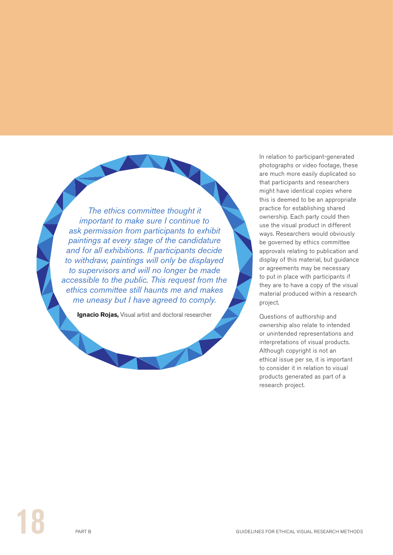*The ethics committee thought it important to make sure I continue to ask permission from participants to exhibit paintings at every stage of the candidature and for all exhibitions. If participants decide to withdraw, paintings will only be displayed to supervisors and will no longer be made accessible to the public. This request from the ethics committee still haunts me and makes me uneasy but I have agreed to comply.*

**Ignacio Rojas,** Visual artist and doctoral researcher

In relation to participant-generated photographs or video footage, these are much more easily duplicated so that participants and researchers might have identical copies where this is deemed to be an appropriate practice for establishing shared ownership. Each party could then use the visual product in different ways. Researchers would obviously be governed by ethics committee approvals relating to publication and display of this material, but guidance or agreements may be necessary to put in place with participants if they are to have a copy of the visual material produced within a research project.

Questions of authorship and ownership also relate to intended or unintended representations and interpretations of visual products. Although copyright is not an ethical issue per se, it is important to consider it in relation to visual products generated as part of a research project.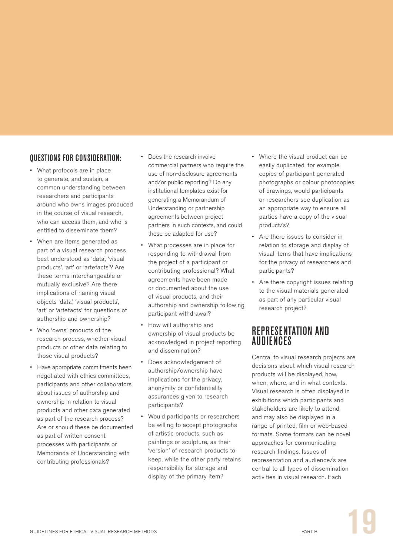#### QUESTIONS FOR CONSIDERATION:

- What protocols are in place to generate, and sustain, a common understanding between researchers and participants around who owns images produced in the course of visual research, who can access them, and who is entitled to disseminate them?
- • When are items generated as part of a visual research process best understood as 'data', 'visual products', 'art' or 'artefacts'? Are these terms interchangeable or mutually exclusive? Are there implications of naming visual objects 'data', 'visual products', 'art' or 'artefacts' for questions of authorship and ownership?
- • Who 'owns' products of the research process, whether visual products or other data relating to those visual products?
- Have appropriate commitments been negotiated with ethics committees, participants and other collaborators about issues of authorship and ownership in relation to visual products and other data generated as part of the research process? Are or should these be documented as part of written consent processes with participants or Memoranda of Understanding with contributing professionals?
- Does the research involve commercial partners who require the use of non-disclosure agreements and/or public reporting? Do any institutional templates exist for generating a Memorandum of Understanding or partnership agreements between project partners in such contexts, and could these be adapted for use?
- What processes are in place for responding to withdrawal from the project of a participant or contributing professional? What agreements have been made or documented about the use of visual products, and their authorship and ownership following participant withdrawal?
- How will authorship and ownership of visual products be acknowledged in project reporting and dissemination?
- Does acknowledgement of authorship/ownership have implications for the privacy, anonymity or confidentiality assurances given to research participants?
- • Would participants or researchers be willing to accept photographs of artistic products, such as paintings or sculpture, as their 'version' of research products to keep, while the other party retains responsibility for storage and display of the primary item?
- Where the visual product can be easily duplicated, for example copies of participant generated photographs or colour photocopies of drawings, would participants or researchers see duplication as an appropriate way to ensure all parties have a copy of the visual product/s?
- • Are there issues to consider in relation to storage and display of visual items that have implications for the privacy of researchers and participants?
- Are there copyright issues relating to the visual materials generated as part of any particular visual research project?

#### REPRESENTATION AND **AUDIFNCES**

Central to visual research projects are decisions about which visual research products will be displayed, how, when, where, and in what contexts. Visual research is often displayed in exhibitions which participants and stakeholders are likely to attend, and may also be displayed in a range of printed, film or web-based formats. Some formats can be novel approaches for communicating research findings. Issues of representation and audience/s are central to all types of dissemination activities in visual research. Each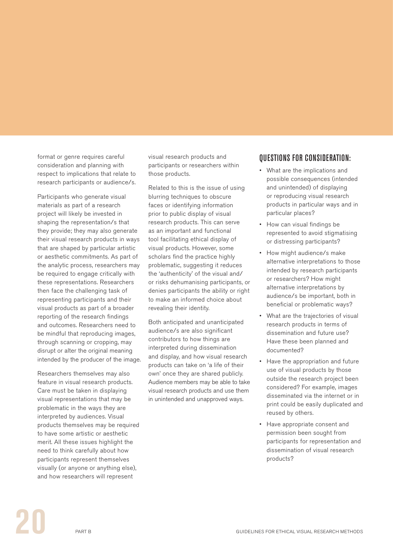format or genre requires careful consideration and planning with respect to implications that relate to research participants or audience/s.

Participants who generate visual materials as part of a research project will likely be invested in shaping the representation/s that they provide; they may also generate their visual research products in ways that are shaped by particular artistic or aesthetic commitments. As part of the analytic process, researchers may be required to engage critically with these representations. Researchers then face the challenging task of representing participants and their visual products as part of a broader reporting of the research findings and outcomes. Researchers need to be mindful that reproducing images, through scanning or cropping, may disrupt or alter the original meaning intended by the producer of the image.

Researchers themselves may also feature in visual research products. Care must be taken in displaying visual representations that may be problematic in the ways they are interpreted by audiences. Visual products themselves may be required to have some artistic or aesthetic merit. All these issues highlight the need to think carefully about how participants represent themselves visually (or anyone or anything else), and how researchers will represent

visual research products and participants or researchers within those products.

Related to this is the issue of using blurring techniques to obscure faces or identifying information prior to public display of visual research products. This can serve as an important and functional tool facilitating ethical display of visual products. However, some scholars find the practice highly problematic, suggesting it reduces the 'authenticity' of the visual and/ or risks dehumanising participants, or denies participants the ability or right to make an informed choice about revealing their identity.

Both anticipated and unanticipated audience/s are also significant contributors to how things are interpreted during dissemination and display, and how visual research products can take on 'a life of their own' once they are shared publicly. Audience members may be able to take visual research products and use them in unintended and unapproved ways.

#### QUESTIONS FOR CONSIDERATION:

- • What are the implications and possible consequences (intended and unintended) of displaying or reproducing visual research products in particular ways and in particular places?
- How can visual findings be represented to avoid stigmatising or distressing participants?
- How might audience/s make alternative interpretations to those intended by research participants or researchers? How might alternative interpretations by audience/s be important, both in beneficial or problematic ways?
- What are the trajectories of visual research products in terms of dissemination and future use? Have these been planned and documented?
- • Have the appropriation and future use of visual products by those outside the research project been considered? For example, images disseminated via the internet or in print could be easily duplicated and reused by others.
- • Have appropriate consent and permission been sought from participants for representation and dissemination of visual research products?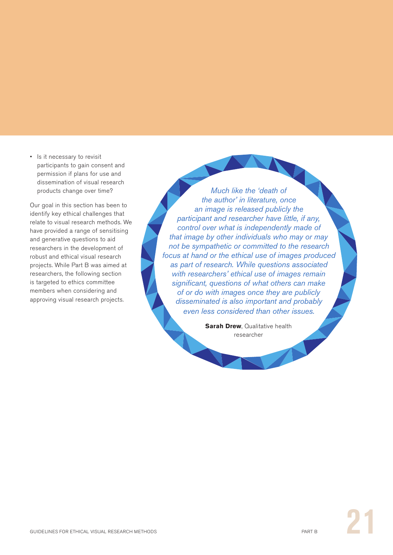• Is it necessary to revisit participants to gain consent and permission if plans for use and dissemination of visual research products change over time?

Our goal in this section has been to identify key ethical challenges that relate to visual research methods. We have provided a range of sensitising and generative questions to aid researchers in the development of robust and ethical visual research projects. While Part B was aimed at researchers, the following section is targeted to ethics committee members when considering and approving visual research projects.

*Much like the 'death of the author' in literature, once an image is released publicly the participant and researcher have little, if any, control over what is independently made of that image by other individuals who may or may not be sympathetic or committed to the research focus at hand or the ethical use of images produced as part of research. While questions associated with researchers' ethical use of images remain significant, questions of what others can make of or do with images once they are publicly disseminated is also important and probably even less considered than other issues.*

> **Sarah Drew**, Qualitative health researcher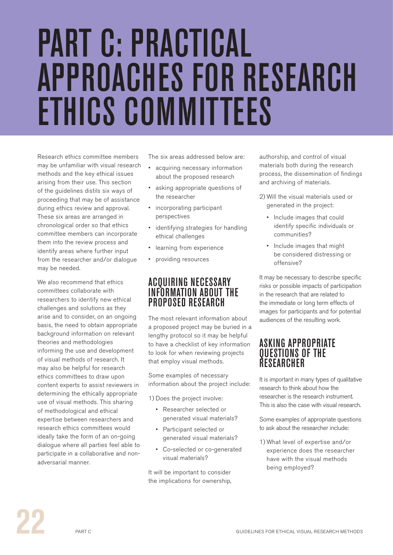# <span id="page-25-0"></span>PART C: PRACTICAL APPROACHES FOR RESEARCH ETHICS COMMITTEES

Research ethics committee members may be unfamiliar with visual research methods and the key ethical issues arising from their use. This section of the guidelines distils six ways of proceeding that may be of assistance during ethics review and approval. These six areas are arranged in chronological order so that ethics committee members can incorporate them into the review process and identify areas where further input from the researcher and/or dialogue may be needed.

We also recommend that ethics committees collaborate with researchers to identify new ethical challenges and solutions as they arise and to consider, on an ongoing basis, the need to obtain appropriate background information on relevant theories and methodologies informing the use and development of visual methods of research. It may also be helpful for research ethics committees to draw upon content experts to assist reviewers in determining the ethically appropriate use of visual methods. This sharing of methodological and ethical expertise between researchers and research ethics committees would ideally take the form of an on-going dialogue where all parties feel able to participate in a collaborative and nonadversarial manner.

The six areas addressed below are:

- • acquiring necessary information about the proposed research
- • asking appropriate questions of the researcher
- • incorporating participant perspectives
- • identifying strategies for handling ethical challenges
- • learning from experience
- • providing resources

#### ACQUIRING NECESSARY INFORMATION ABOUT THE PROPOSED RESEARCH

The most relevant information about a proposed project may be buried in a lengthy protocol so it may be helpful to have a checklist of key information to look for when reviewing projects that employ visual methods.

Some examples of necessary information about the project include:

1) Does the project involve:

- • Researcher selected or generated visual materials?
- • Participant selected or generated visual materials?
- • Co-selected or co-generated visual materials?

It will be important to consider the implications for ownership, authorship, and control of visual materials both during the research process, the dissemination of findings and archiving of materials.

- 2) Will the visual materials used or generated in the project:
	- • Include images that could identify specific individuals or communities?
	- • Include images that might be considered distressing or offensive?

It may be necessary to describe specific risks or possible impacts of participation in the research that are related to the immediate or long term effects of images for participants and for potential audiences of the resulting work.

#### ASKING APPROPRIATE QUESTIONS OF THE RESEARCHER

It is important in many types of qualitative research to think about how the researcher is the research instrument. This is also the case with visual research.

Some examples of appropriate questions to ask about the researcher include:

1) What level of expertise and/or experience does the researcher have with the visual methods being employed?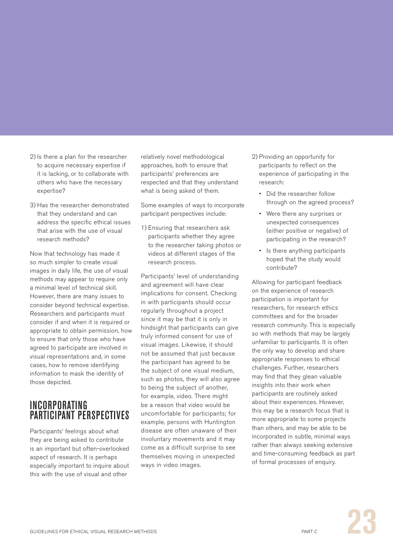- 2) Is there a plan for the researcher to acquire necessary expertise if it is lacking, or to collaborate with others who have the necessary expertise?
- 3) Has the researcher demonstrated that they understand and can address the specific ethical issues that arise with the use of visual research methods?

Now that technology has made it so much simpler to create visual images in daily life, the use of visual methods may appear to require only a minimal level of technical skill. However, there are many issues to consider beyond technical expertise. Researchers and participants must consider if and when it is required or appropriate to obtain permission, how to ensure that only those who have agreed to participate are involved in visual representations and, in some cases, how to remove identifying information to mask the identity of those depicted.

### INCORPORATING PARTICIPANT PERSPECTIVES

Participants' feelings about what they are being asked to contribute is an important but often-overlooked aspect of research. It is perhaps especially important to inquire about this with the use of visual and other

relatively novel methodological approaches, both to ensure that participants' preferences are respected and that they understand what is being asked of them.

Some examples of ways to incorporate participant perspectives include:

1) Ensuring that researchers ask participants whether they agree to the researcher taking photos or videos at different stages of the research process.

Participants' level of understanding and agreement will have clear implications for consent. Checking in with participants should occur regularly throughout a project since it may be that it is only in hindsight that participants can give truly informed consent for use of visual images. Likewise, it should not be assumed that just because the participant has agreed to be the subject of one visual medium, such as photos, they will also agree to being the subject of another, for example, video. There might be a reason that video would be uncomfortable for participants; for example, persons with Huntington disease are often unaware of their involuntary movements and it may come as a difficult surprise to see themselves moving in unexpected ways in video images.

- 2) Providing an opportunity for participants to reflect on the experience of participating in the research:
	- Did the researcher follow through on the agreed process?
	- • Were there any surprises or unexpected consequences (either positive or negative) of participating in the research?
	- Is there anything participants hoped that the study would contribute?

Allowing for participant feedback on the experience of research participation is important for researchers, for research ethics committees and for the broader research community. This is especially so with methods that may be largely unfamiliar to participants. It is often the only way to develop and share appropriate responses to ethical challenges. Further, researchers may find that they glean valuable insights into their work when participants are routinely asked about their experiences. However, this may be a research focus that is more appropriate to some projects than others, and may be able to be incorporated in subtle, minimal ways rather than always seeking extensive and time-consuming feedback as part of formal processes of enquiry.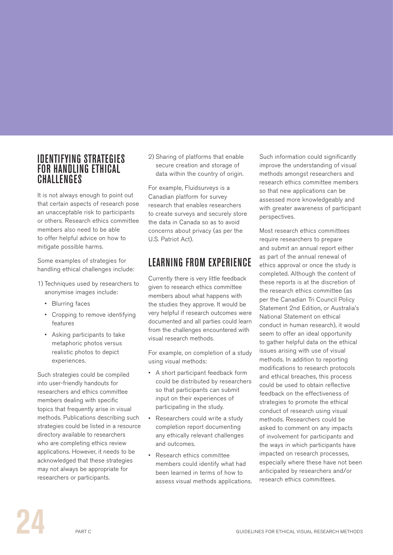#### IDENTIFYING STRATEGIES FOR HANDLING ETHICAL **CHALLENGES**

It is not always enough to point out that certain aspects of research pose an unacceptable risk to participants or others. Research ethics committee members also need to be able to offer helpful advice on how to mitigate possible harms.

Some examples of strategies for handling ethical challenges include:

- 1) Techniques used by researchers to anonymise images include:
	- • Blurring faces
	- • Cropping to remove identifying features
	- • Asking participants to take metaphoric photos versus realistic photos to depict experiences.

Such strategies could be compiled into user-friendly handouts for researchers and ethics committee members dealing with specific topics that frequently arise in visual methods. Publications describing such strategies could be listed in a resource directory available to researchers who are completing ethics review applications. However, it needs to be acknowledged that these strategies may not always be appropriate for researchers or participants.

2) Sharing of platforms that enable secure creation and storage of data within the country of origin.

For example, Fluidsurveys is a Canadian platform for survey research that enables researchers to create surveys and securely store the data in Canada so as to avoid concerns about privacy (as per the U.S. Patriot Act).

## LEARNING FROM EXPERIENCE

Currently there is very little feedback given to research ethics committee members about what happens with the studies they approve. It would be very helpful if research outcomes were documented and all parties could learn from the challenges encountered with visual research methods.

For example, on completion of a study using visual methods:

- • A short participant feedback form could be distributed by researchers so that participants can submit input on their experiences of participating in the study.
- Researchers could write a study completion report documenting any ethically relevant challenges and outcomes.
- • Research ethics committee members could identify what had been learned in terms of how to assess visual methods applications.

Such information could significantly improve the understanding of visual methods amongst researchers and research ethics committee members so that new applications can be assessed more knowledgeably and with greater awareness of participant perspectives.

Most research ethics committees require researchers to prepare and submit an annual report either as part of the annual renewal of ethics approval or once the study is completed. Although the content of these reports is at the discretion of the research ethics committee (as per the Canadian Tri Council Policy Statement 2nd Edition, or Australia's National Statement on ethical conduct in human research), it would seem to offer an ideal opportunity to gather helpful data on the ethical issues arising with use of visual methods. In addition to reporting modifications to research protocols and ethical breaches, this process could be used to obtain reflective feedback on the effectiveness of strategies to promote the ethical conduct of research using visual methods. Researchers could be asked to comment on any impacts of involvement for participants and the ways in which participants have impacted on research processes, especially where these have not been anticipated by researchers and/or research ethics committees.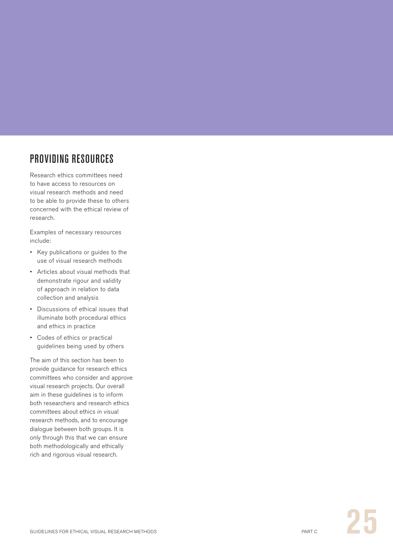# PROVIDING RESOURCES

Research ethics committees need to have access to resources on visual research methods and need to be able to provide these to others concerned with the ethical review of research.

Examples of necessary resources include:

- • Key publications or guides to the use of visual research methods
- • Articles about visual methods that demonstrate rigour and validity of approach in relation to data collection and analysis
- • Discussions of ethical issues that illuminate both procedural ethics and ethics in practice
- • Codes of ethics or practical guidelines being used by others

The aim of this section has been to provide guidance for research ethics committees who consider and approve visual research projects. Our overall aim in these guidelines is to inform both researchers and research ethics committees about ethics in visual research methods, and to encourage dialogue between both groups. It is only through this that we can ensure both methodologically and ethically rich and rigorous visual research.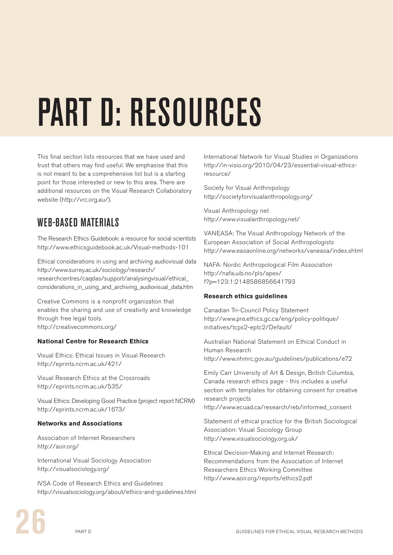# <span id="page-29-0"></span>PART D: RESOURCES

This final section lists resources that we have used and trust that others may find useful. We emphasise that this is not meant to be a comprehensive list but is a starting point for those interested or new to this area. There are additional resources on the Visual Research Collaboratory website (http://vrc.org.au/).

# WEB-BASED MATERIALS

The Research Ethics Guidebook: a resource for social scientists http://www.ethicsguidebook.ac.uk/Visual-methods-101

Ethical considerations in using and archiving audiovisual data http://www.surrey.ac.uk/sociology/research/ researchcentres/caqdas/support/analysingvisual/ethical\_ considerations\_in\_using\_and\_archiving\_audiovisual\_data.htm

Creative Commons is a nonprofit organization that enables the sharing and use of creativity and knowledge through free legal tools. http://creativecommons.org/

#### **National Centre for Research Ethics**

Visual Ethics: Ethical Issues in Visual Research http://eprints.ncrm.ac.uk/421/

Visual Research Ethics at the Crossroads http://eprints.ncrm.ac.uk/535/

Visual Ethics: Developing Good Practice (project report NCRM) http://eprints.ncrm.ac.uk/1673/

#### **Networks and Associations**

Association of Internet Researchers http://aoir.org/

International Visual Sociology Association http://visualsociology.org/

IVSA Code of Research Ethics and Guidelines http://visualsociology.org/about/ethics-and-guidelines.html

International Network for Visual Studies in Organizations http://in-visio.org/2010/04/23/essential-visual-ethicsresource/

Society for Visual Anthropology http://societyforvisualanthropology.org/

Visual Anthropology net http://www.visualanthropology.net/

VANEASA: The Visual Anthropology Network of the European Association of Social Anthropologists http://www.easaonline.org/networks/vaneasa/index.shtml

NAFA: Nordic Anthropological Film Association http://nafa.uib.no/pls/apex/ f?p=123:1:2148586856641793

#### **Research ethics guidelines**

Canadian Tri-Council Policy Statement http://www.pre.ethics.gc.ca/eng/policy-politique/ initiatives/tcps2-eptc2/Default/

Australian National Statement on Ethical Conduct in Human Research http://www.nhmrc.gov.au/guidelines/publications/e72

Emily Carr University of Art & Design, British Columbia, Canada research ethics page - this includes a useful section with templates for obtaining consent for creative research projects http://www.ecuad.ca/research/reb/informed\_consent

Statement of ethical practice for the British Sociological Association: Visual Sociology Group http://www.visualsociology.org.uk/

Ethical Decision-Making and Internet Research: Recommendations from the Association of Internet Researchers Ethics Working Committee http://www.aoir.org/reports/ethics2.pdf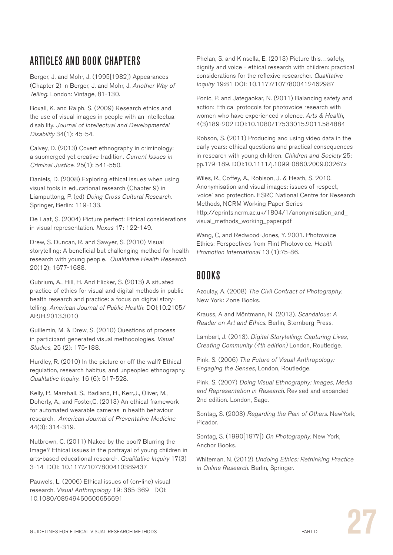# ARTICLES AND BOOK CHAPTERS

Berger, J. and Mohr, J. (1995[1982]) Appearances (Chapter 2) in Berger, J. and Mohr, J. Another Way of Telling. London: Vintage, 81-130.

Boxall, K. and Ralph, S. (2009) Research ethics and the use of visual images in people with an intellectual disability. Journal of Intellectual and Developmental Disability 34(1): 45-54.

Calvey, D. (2013) Covert ethnography in criminology: a submerged yet creative tradition. Current Issues in Criminal Justice. 25(1): 541-550.

Daniels, D. (2008) Exploring ethical issues when using visual tools in educational research (Chapter 9) in Liamputtong, P. (ed) Doing Cross Cultural Research. Springer, Berlin: 119-133.

De Laat, S. (2004) Picture perfect: Ethical considerations in visual representation. Nexus 17: 122-149.

Drew, S. Duncan, R. and Sawyer, S. (2010) Visual storytelling: A beneficial but challenging method for health research with young people. Qualitative Health Research 20(12): 1677-1688.

Gubrium, A., Hill, H. And Flicker, S. (2013) A situated practice of ethics for visual and digital methods in public health research and practice: a focus on digital storytelling. American Journal of Public Health: DOI;10.2105/ APJH.2013.3010

Guillemin, M. & Drew, S. (2010) Questions of process in participant-generated visual methodologies. Visual Studies, 25 (2): 175-188.

Hurdley, R. (2010) In the picture or off the wall? Ethical regulation, research habitus, and unpeopled ethnography. Qualitative Inquiry. 16 (6): 517-528.

Kelly, P., Marshall, S., Badland, H., Kerr,J., Oliver, M., Doherty, A., and Foster,C. (2013) An ethical framework for automated wearable cameras in health behaviour research. American Journal of Preventative Medicine 44(3): 314-319.

Nutbrown, C. (2011) Naked by the pool? Blurring the Image? Ethical issues in the portrayal of young children in arts-based educational research. Qualitative Inquiry 17(3) 3-14 DOI: 10.1177/1077800410389437

Pauwels, L. (2006) Ethical issues of (on-line) visual research. Visual Anthropology 19: 365-369 DOI: 10.1080/08949460600656691

Phelan, S. and Kinsella, E. (2013) Picture this…safety, dignity and voice - ethical research with children: practical considerations for the reflexive researcher. Qualitative Inquiry 19:81 DOI: 10.1177/1077800412462987

Ponic, P. and Jategaokar, N. (2011) Balancing safety and action: Ethical protocols for photovoice research with women who have experienced violence. Arts & Health, 4(3)189-202 DOI:10.1080/17533015.2011.584884

Robson, S. (2011) Producing and using video data in the early years: ethical questions and practical consequences in research with young children. Children and Society 25: pp.179-189. DOI:10.1111/j.1099-0860.2009.00267.x

Wiles, R., Coffey, A., Robison, J. & Heath, S. 2010. Anonymisation and visual images: issues of respect, 'voice' and protection. ESRC National Centre for Research Methods, NCRM Working Paper Series http://eprints.ncrm.ac.uk/1804/1/anonymisation\_and\_ visual\_methods\_working\_paper.pdf

Wang, C, and Redwood-Jones, Y. 2001. Photovoice Ethics: Perspectives from Flint Photovoice. Health Promotion International 13 (1):75-86.

### BOOKS

Azoulay, A. (2008) The Civil Contract of Photography. New York: Zone Books.

Krauss, A and Möntmann, N. (2013). Scandalous: A Reader on Art and Ethics. Berlin, Sternberg Press.

Lambert, J. (2013). Digital Storytelling: Capturing Lives. Creating Community (4th edition) London, Routledge.

Pink, S. (2006) The Future of Visual Anthropology: Engaging the Senses, London, Routledge.

Pink, S. (2007) Doing Visual Ethnography: Images, Media and Representation in Research. Revised and expanded 2nd edition. London, Sage.

Sontag, S. (2003) Regarding the Pain of Others. NewYork, Picador.

Sontag, S. (1990[1977]) On Photography. New York, Anchor Books.

Whiteman, N. (2012) Undoing Ethics: Rethinking Practice in Online Research. Berlin, Springer.